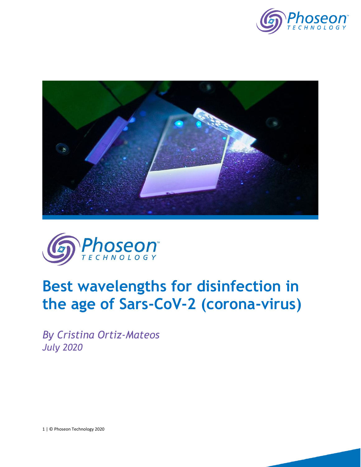





# **Best wavelengths for disinfection in the age of Sars-CoV-2 (corona-virus)**

*By Cristina Ortiz-Mateos July 2020*

1 | © Phoseon Technology 2020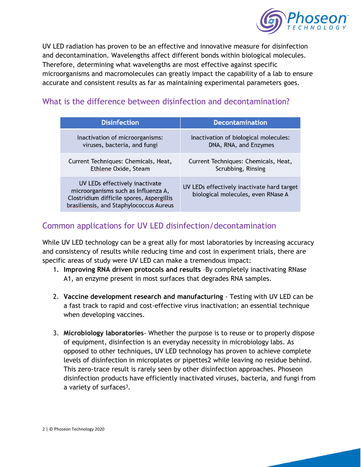

UV LED radiation has proven to be an effective and innovative measure for disinfection and decontamination. Wavelengths affect different bonds within biological molecules. Therefore, determining what wavelengths are most effective against specific microorganisms and macromolecules can greatly impact the capability of a lab to ensure accurate and consistent results as far as maintaining experimental parameters goes.

| <b>Disinfection</b>                                                                                                                                           | <b>Decontamination</b>                                                           |
|---------------------------------------------------------------------------------------------------------------------------------------------------------------|----------------------------------------------------------------------------------|
| Inactivation of microorganisms:                                                                                                                               | Inactivation of biological molecules:                                            |
| viruses, bacteria, and fungi                                                                                                                                  | DNA, RNA, and Enzymes                                                            |
| Current Techniques: Chemicals, Heat,                                                                                                                          | Current Techniques: Chemicals, Heat,                                             |
| Ethlene Oxide, Steam                                                                                                                                          | Scrubbing, Rinsing                                                               |
| UV LEDs effectively inactivate<br>microorganisms such as Influenza A,<br>Clostridium difficile spores, Aspergillis<br>brasiliensis, and Staphylococcus Aureus | UV LEDs effectively inactivate hard target<br>biological molecules, even RNase A |

## What is the difference between disinfection and decontamination?

## Common applications for UV LED disinfection/decontamination

While UV LED technology can be a great ally for most laboratories by increasing accuracy and consistency of results while reducing time and cost in experiment trials, there are specific areas of study were UV LED can make a tremendous impact:

- 1. **Improving RNA driven protocols and results** –By completely inactivating RNase A1, an enzyme present in most surfaces that degrades RNA samples.
- 2. **Vaccine development research and manufacturing** Testing with UV LED can be a fast track to rapid and cost-effective virus inactivation; an essential technique when developing vaccines.
- 3. **Microbiology laboratories** Whether the purpose is to reuse or to properly dispose of equipment, disinfection is an everyday necessity in microbiology labs. As opposed to other techniques, UV LED technology has proven to achieve complete levels of disinfection in microplates or pipettes2 while leaving no residue behind. This zero-trace result is rarely seen by other disinfection approaches. Phoseon disinfection products have efficiently inactivated viruses, bacteria, and fungi from a variety of surfaces<sup>3</sup>.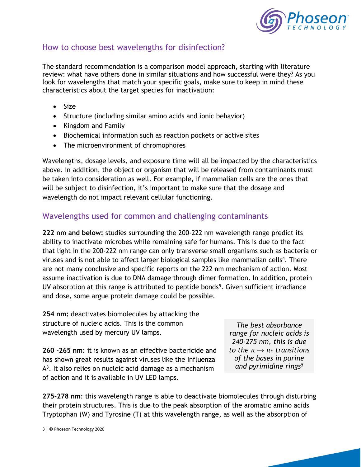

### How to choose best wavelengths for disinfection?

The standard recommendation is a comparison model approach, starting with literature review: what have others done in similar situations and how successful were they? As you look for wavelengths that match your specific goals, make sure to keep in mind these characteristics about the target species for inactivation:

- Size
- Structure (including similar amino acids and ionic behavior)
- Kingdom and Family
- Biochemical information such as reaction pockets or active sites
- The microenvironment of chromophores

Wavelengths, dosage levels, and exposure time will all be impacted by the characteristics above. In addition, the object or organism that will be released from contaminants must be taken into consideration as well. For example, if mammalian cells are the ones that will be subject to disinfection, it's important to make sure that the dosage and wavelength do not impact relevant cellular functioning.

#### Wavelengths used for common and challenging contaminants

**222 nm and below:** studies surrounding the 200-222 nm wavelength range predict its ability to inactivate microbes while remaining safe for humans. This is due to the fact that light in the 200-222 nm range can only transverse small organisms such as bacteria or viruses and is not able to affect larger biological samples like mammalian cells<sup>4</sup>. There are not many conclusive and specific reports on the 222 nm mechanism of action. Most assume inactivation is due to DNA damage through dimer formation. In addition, protein UV absorption at this range is attributed to peptide bonds<sup>5</sup>. Given sufficient irradiance and dose, some argue protein damage could be possible.

**254 nm:** deactivates biomolecules by attacking the structure of nucleic acids. This is the common wavelength used by mercury UV lamps.

**260 -265 nm:** it is known as an effective bactericide and has shown great results against viruses like the Influenza A<sup>3</sup>. It also relies on nucleic acid damage as a mechanism of action and it is available in UV LED lamps.

*The best absorbance range for nucleic acids is 240-275 nm, this is due to the*  $π → π∗$  *transitions of the bases in purine and pyrimidine rings5*

**275-278 nm**: this wavelength range is able to deactivate biomolecules through disturbing their protein structures. This is due to the peak absorption of the aromatic amino acids Tryptophan (W) and Tyrosine (T) at this wavelength range, as well as the absorption of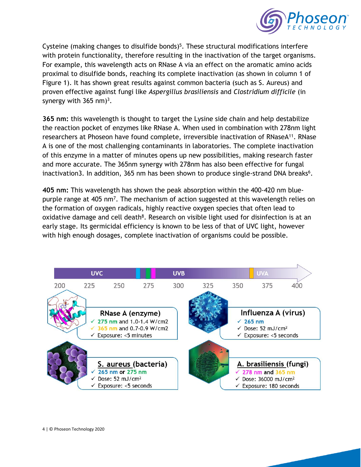

Cysteine (making changes to disulfide bonds)<sup>5</sup>. These structural modifications interfere with protein functionality, therefore resulting in the inactivation of the target organisms. For example, this wavelength acts on RNase A via an effect on the aromatic amino acids proximal to disulfide bonds, reaching its complete inactivation (as shown in column 1 of Figure 1). It has shown great results against common bacteria (such as S. Aureus) and proven effective against fungi like *Aspergillus brasiliensis* and *Clostridium difficile* (in synergy with  $365$  nm $)^3$ .

**365 nm:** this wavelength is thought to target the Lysine side chain and help destabilize the reaction pocket of enzymes like RNase A. When used in combination with 278nm light researchers at Phoseon have found complete, irreversible inactivation of RNaseA<sup>11</sup>. RNase A is one of the most challenging contaminants in laboratories. The complete inactivation of this enzyme in a matter of minutes opens up new possibilities, making research faster and more accurate. The 365nm synergy with 278nm has also been effective for fungal inactivation3. In addition, 365 nm has been shown to produce single-strand DNA breaks<sup>6</sup>.

**405 nm:** This wavelength has shown the peak absorption within the 400-420 nm bluepurple range at 405 nm<sup>7</sup>. The mechanism of action suggested at this wavelength relies on the formation of oxygen radicals, highly reactive oxygen species that often lead to oxidative damage and cell death<sup>8</sup>. Research on visible light used for disinfection is at an early stage. Its germicidal efficiency is known to be less of that of UVC light, however with high enough dosages, complete inactivation of organisms could be possible.

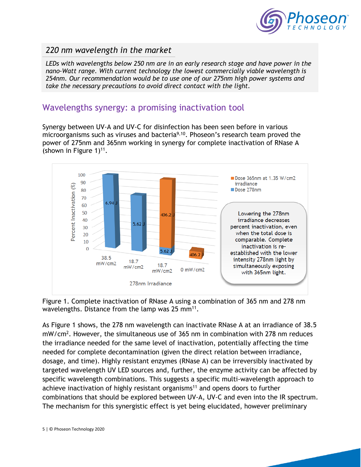

#### *220 nm wavelength in the market*

*LEDs with wavelengths below 250 nm are in an early research stage and have power in the nano-Watt range. With current technology the lowest commercially viable wavelength is 254nm. Our recommendation would be to use one of our 275nm high power systems and take the necessary precautions to avoid direct contact with the light.*

## Wavelengths synergy: a promising inactivation tool

Synergy between UV-A and UV-C for disinfection has been seen before in various microorganisms such as viruses and bacteria9,10. Phoseon's research team proved the power of 275nm and 365nm working in synergy for complete inactivation of RNase A (shown in Figure  $1$ )<sup>11</sup>.



Figure 1. Complete inactivation of RNase A using a combination of 365 nm and 278 nm wavelengths. Distance from the lamp was 25 mm<sup>11</sup>.

As Figure 1 shows, the 278 nm wavelength can inactivate RNase A at an irradiance of 38.5 mW/cm<sup>2</sup> . However, the simultaneous use of 365 nm in combination with 278 nm reduces the irradiance needed for the same level of inactivation, potentially affecting the time needed for complete decontamination (given the direct relation between irradiance, dosage, and time). Highly resistant enzymes (RNase A) can be irreversibly inactivated by targeted wavelength UV LED sources and, further, the enzyme activity can be affected by specific wavelength combinations. This suggests a specific multi-wavelength approach to achieve inactivation of highly resistant organisms<sup>11</sup> and opens doors to further combinations that should be explored between UV-A, UV-C and even into the IR spectrum. The mechanism for this synergistic effect is yet being elucidated, however preliminary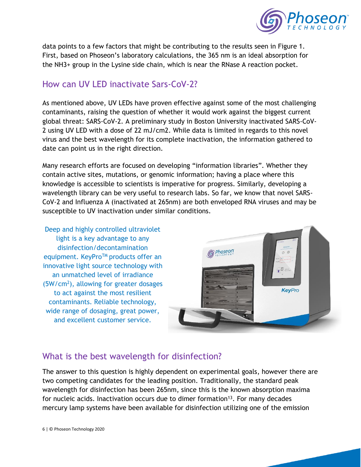

data points to a few factors that might be contributing to the results seen in Figure 1. First, based on Phoseon's laboratory calculations, the 365 nm is an ideal absorption for the NH3+ group in the Lysine side chain, which is near the RNase A reaction pocket.

## How can UV LED inactivate Sars-CoV-2?

As mentioned above, UV LEDs have proven effective against some of the most challenging contaminants, raising the question of whether it would work against the biggest current global threat: SARS-CoV-2. A preliminary study in Boston University inactivated SARS-CoV-2 using UV LED with a dose of 22 mJ/cm2. While data is limited in regards to this novel virus and the best wavelength for its complete inactivation, the information gathered to date can point us in the right direction.

Many research efforts are focused on developing "information libraries". Whether they contain active sites, mutations, or genomic information; having a place where this knowledge is accessible to scientists is imperative for progress. Similarly, developing a wavelength library can be very useful to research labs. So far, we know that novel SARS-CoV-2 and Influenza A (inactivated at 265nm) are both enveloped RNA viruses and may be susceptible to UV inactivation under similar conditions.

Deep and highly controlled ultraviolet light is a key advantage to any disinfection/decontamination equipment. KeyPro<sup>TM</sup> products offer an innovative light source technology with an unmatched level of irradiance (5W/cm<sup>2</sup> ), allowing for greater dosages to act against the most resilient contaminants. Reliable technology, wide range of dosaging, great power, and excellent customer service.



## What is the best wavelength for disinfection?

The answer to this question is highly dependent on experimental goals, however there are two competing candidates for the leading position. Traditionally, the standard peak wavelength for disinfection has been 265nm, since this is the known absorption maxima for nucleic acids. Inactivation occurs due to dimer formation<sup>13</sup>. For many decades mercury lamp systems have been available for disinfection utilizing one of the emission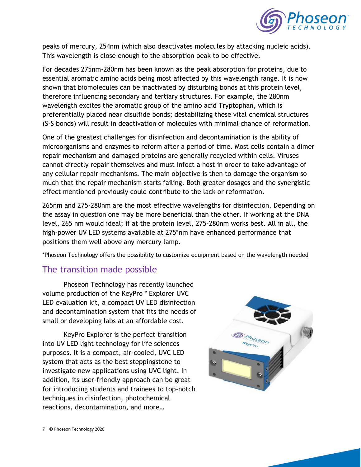

peaks of mercury, 254nm (which also deactivates molecules by attacking nucleic acids). This wavelength is close enough to the absorption peak to be effective.

For decades 275nm-280nm has been known as the peak absorption for proteins, due to essential aromatic amino acids being most affected by this wavelength range. It is now shown that biomolecules can be inactivated by disturbing bonds at this protein level, therefore influencing secondary and tertiary structures. For example, the 280nm wavelength excites the aromatic group of the amino acid Tryptophan, which is preferentially placed near disulfide bonds; destabilizing these vital chemical structures (S-S bonds) will result in deactivation of molecules with minimal chance of reformation.

One of the greatest challenges for disinfection and decontamination is the ability of microorganisms and enzymes to reform after a period of time. Most cells contain a dimer repair mechanism and damaged proteins are generally recycled within cells. Viruses cannot directly repair themselves and must infect a host in order to take advantage of any cellular repair mechanisms. The main objective is then to damage the organism so much that the repair mechanism starts failing. Both greater dosages and the synergistic effect mentioned previously could contribute to the lack or reformation.

265nm and 275-280nm are the most effective wavelengths for disinfection. Depending on the assay in question one may be more beneficial than the other. If working at the DNA level, 265 nm would ideal; if at the protein level, 275-280nm works best. All in all, the high-power UV LED systems available at 275\*nm have enhanced performance that positions them well above any mercury lamp.

\*Phoseon Technology offers the possibility to customize equipment based on the wavelength needed

#### The transition made possible

Phoseon Technology has recently launched volume production of the KeyPro™ Explorer UVC LED evaluation kit, a compact UV LED disinfection and decontamination system that fits the needs of small or developing labs at an affordable cost.

KeyPro Explorer is the perfect transition into UV LED light technology for life sciences purposes. It is a compact, air-cooled, UVC LED system that acts as the best steppingstone to investigate new applications using UVC light. In addition, its user-friendly approach can be great for introducing students and trainees to top-notch techniques in disinfection, photochemical reactions, decontamination, and more…

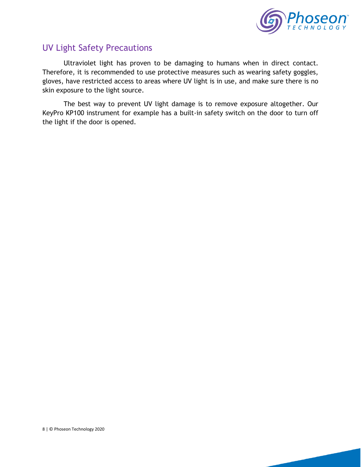

## UV Light Safety Precautions

Ultraviolet light has proven to be damaging to humans when in direct contact. Therefore, it is recommended to use protective measures such as wearing safety goggles, gloves, have restricted access to areas where UV light is in use, and make sure there is no skin exposure to the light source.

The best way to prevent UV light damage is to remove exposure altogether. Our KeyPro KP100 instrument for example has a built-in safety switch on the door to turn off the light if the door is opened.